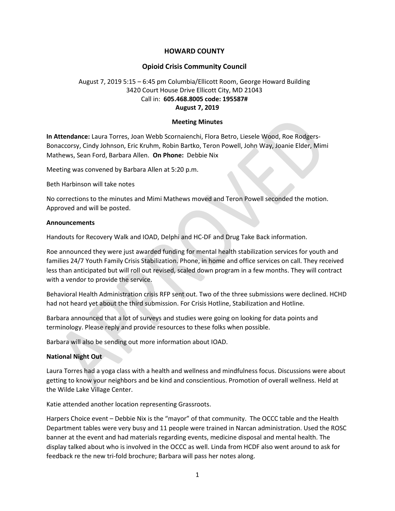# HOWARD COUNTY

## Opioid Crisis Community Council

# August 7, 2019 5:15 – 6:45 pm Columbia/Ellicott Room, George Howard Building 3420 Court House Drive Ellicott City, MD 21043 Call in: 605.468.8005 code: 195587# August 7, 2019

### Meeting Minutes

In Attendance: Laura Torres, Joan Webb Scornaienchi, Flora Betro, Liesele Wood, Roe Rodgers-Bonaccorsy, Cindy Johnson, Eric Kruhm, Robin Bartko, Teron Powell, John Way, Joanie Elder, Mimi Mathews, Sean Ford, Barbara Allen. On Phone: Debbie Nix

Meeting was convened by Barbara Allen at 5:20 p.m.

Beth Harbinson will take notes

No corrections to the minutes and Mimi Mathews moved and Teron Powell seconded the motion. Approved and will be posted.

### Announcements

Handouts for Recovery Walk and IOAD, Delphi and HC-DF and Drug Take Back information.

Roe announced they were just awarded funding for mental health stabilization services for youth and families 24/7 Youth Family Crisis Stabilization. Phone, in home and office services on call. They received less than anticipated but will roll out revised, scaled down program in a few months. They will contract with a vendor to provide the service.

Behavioral Health Administration crisis RFP sent out. Two of the three submissions were declined. HCHD had not heard yet about the third submission. For Crisis Hotline, Stabilization and Hotline.

Barbara announced that a lot of surveys and studies were going on looking for data points and terminology. Please reply and provide resources to these folks when possible.

Barbara will also be sending out more information about IOAD.

## National Night Out

Laura Torres had a yoga class with a health and wellness and mindfulness focus. Discussions were about getting to know your neighbors and be kind and conscientious. Promotion of overall wellness. Held at the Wilde Lake Village Center.

Katie attended another location representing Grassroots.

Harpers Choice event – Debbie Nix is the "mayor" of that community. The OCCC table and the Health Department tables were very busy and 11 people were trained in Narcan administration. Used the ROSC banner at the event and had materials regarding events, medicine disposal and mental health. The display talked about who is involved in the OCCC as well. Linda from HCDF also went around to ask for feedback re the new tri-fold brochure; Barbara will pass her notes along.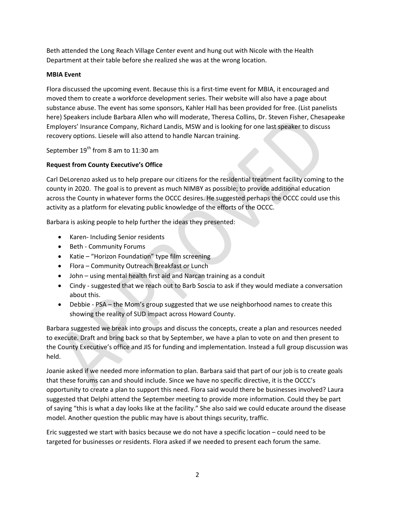Beth attended the Long Reach Village Center event and hung out with Nicole with the Health Department at their table before she realized she was at the wrong location.

# MBIA Event

Flora discussed the upcoming event. Because this is a first-time event for MBIA, it encouraged and moved them to create a workforce development series. Their website will also have a page about substance abuse. The event has some sponsors, Kahler Hall has been provided for free. (List panelists here) Speakers include Barbara Allen who will moderate, Theresa Collins, Dr. Steven Fisher, Chesapeake Employers' Insurance Company, Richard Landis, MSW and is looking for one last speaker to discuss recovery options. Liesele will also attend to handle Narcan training.

September 19<sup>th</sup> from 8 am to 11:30 am

# Request from County Executive's Office

Carl DeLorenzo asked us to help prepare our citizens for the residential treatment facility coming to the county in 2020. The goal is to prevent as much NIMBY as possible; to provide additional education across the County in whatever forms the OCCC desires. He suggested perhaps the OCCC could use this activity as a platform for elevating public knowledge of the efforts of the OCCC.

Barbara is asking people to help further the ideas they presented:

- Karen- Including Senior residents
- Beth Community Forums
- Katie "Horizon Foundation" type film screening
- Flora Community Outreach Breakfast or Lunch
- John using mental health first aid and Narcan training as a conduit
- Cindy suggested that we reach out to Barb Soscia to ask if they would mediate a conversation about this.
- Debbie PSA the Mom's group suggested that we use neighborhood names to create this showing the reality of SUD impact across Howard County.

Barbara suggested we break into groups and discuss the concepts, create a plan and resources needed to execute. Draft and bring back so that by September, we have a plan to vote on and then present to the County Executive's office and JIS for funding and implementation. Instead a full group discussion was held.

Joanie asked if we needed more information to plan. Barbara said that part of our job is to create goals that these forums can and should include. Since we have no specific directive, it is the OCCC's opportunity to create a plan to support this need. Flora said would there be businesses involved? Laura suggested that Delphi attend the September meeting to provide more information. Could they be part of saying "this is what a day looks like at the facility." She also said we could educate around the disease model. Another question the public may have is about things security, traffic.

Eric suggested we start with basics because we do not have a specific location – could need to be targeted for businesses or residents. Flora asked if we needed to present each forum the same.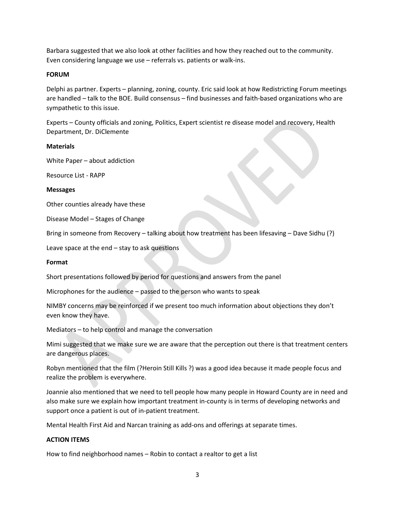Barbara suggested that we also look at other facilities and how they reached out to the community. Even considering language we use – referrals vs. patients or walk-ins.

### FORUM

Delphi as partner. Experts – planning, zoning, county. Eric said look at how Redistricting Forum meetings are handled – talk to the BOE. Build consensus – find businesses and faith-based organizations who are sympathetic to this issue.

Experts – County officials and zoning, Politics, Expert scientist re disease model and recovery, Health Department, Dr. DiClemente

#### **Materials**

White Paper – about addiction

Resource List - RAPP

### Messages

Other counties already have these

Disease Model – Stages of Change

Bring in someone from Recovery – talking about how treatment has been lifesaving – Dave Sidhu (?)

Leave space at the end – stay to ask questions

#### Format

Short presentations followed by period for questions and answers from the panel

Microphones for the audience – passed to the person who wants to speak

NIMBY concerns may be reinforced if we present too much information about objections they don't even know they have.

Mediators – to help control and manage the conversation

Mimi suggested that we make sure we are aware that the perception out there is that treatment centers are dangerous places.

Robyn mentioned that the film (?Heroin Still Kills ?) was a good idea because it made people focus and realize the problem is everywhere.

Joannie also mentioned that we need to tell people how many people in Howard County are in need and also make sure we explain how important treatment in-county is in terms of developing networks and support once a patient is out of in-patient treatment.

Mental Health First Aid and Narcan training as add-ons and offerings at separate times.

## ACTION ITEMS

How to find neighborhood names – Robin to contact a realtor to get a list